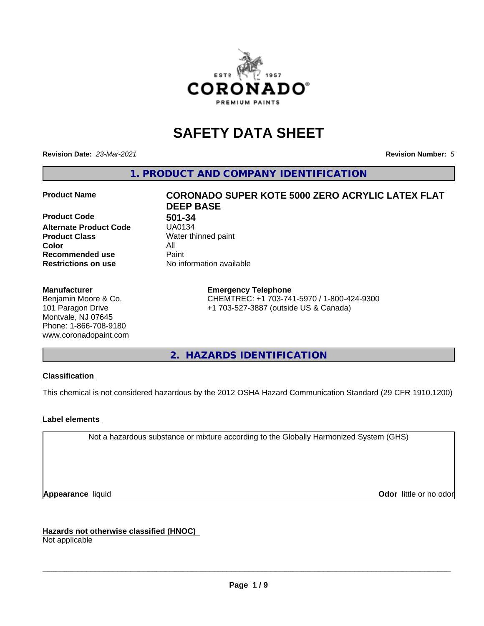

# **SAFETY DATA SHEET**

**Revision Date:** *23-Mar-2021* **Revision Number:** *5*

**1. PRODUCT AND COMPANY IDENTIFICATION**

**Product Code 501-34**<br>**Alternate Product Code UA0134 Alternate Product Code Product Class** Water thinned paint<br> **Color** All **Color** All **Recommended use** Paint<br> **Restrictions on use** Mo information available **Restrictions on use** 

#### **Manufacturer**

Benjamin Moore & Co. 101 Paragon Drive Montvale, NJ 07645 Phone: 1-866-708-9180 www.coronadopaint.com

# **Product Name CORONADO SUPER KOTE 5000 ZERO ACRYLIC LATEX FLAT DEEP BASE**

**Emergency Telephone** CHEMTREC: +1 703-741-5970 / 1-800-424-9300 +1 703-527-3887 (outside US & Canada)

**2. HAZARDS IDENTIFICATION**

### **Classification**

This chemical is not considered hazardous by the 2012 OSHA Hazard Communication Standard (29 CFR 1910.1200)

### **Label elements**

Not a hazardous substance or mixture according to the Globally Harmonized System (GHS)

**Appearance** liquid **Contract Contract Contract Contract Contract Contract Contract Contract Contract Contract Contract Contract Contract Contract Contract Contract Contract Contract Contract Contract Contract Contract Con** 

**Hazards not otherwise classified (HNOC)**

Not applicable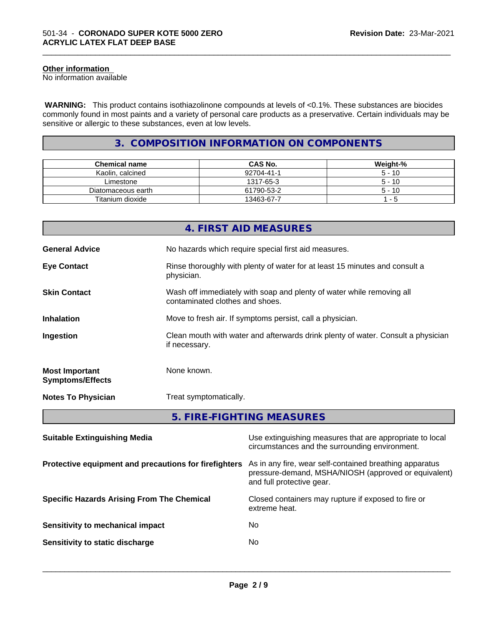#### **Other information**

No information available

 **WARNING:** This product contains isothiazolinone compounds at levels of <0.1%. These substances are biocides commonly found in most paints and a variety of personal care products as a preservative. Certain individuals may be sensitive or allergic to these substances, even at low levels.

\_\_\_\_\_\_\_\_\_\_\_\_\_\_\_\_\_\_\_\_\_\_\_\_\_\_\_\_\_\_\_\_\_\_\_\_\_\_\_\_\_\_\_\_\_\_\_\_\_\_\_\_\_\_\_\_\_\_\_\_\_\_\_\_\_\_\_\_\_\_\_\_\_\_\_\_\_\_\_\_\_\_\_\_\_\_\_\_\_\_\_\_\_

# **3. COMPOSITION INFORMATION ON COMPONENTS**

| <b>Chemical name</b> | <b>CAS No.</b> | Weight-% |
|----------------------|----------------|----------|
| Kaolin, calcined     | 92704-41-1     | $5 - 10$ |
| Limestone            | 1317-65-3      | $5 - 10$ |
| Diatomaceous earth   | 61790-53-2     | $5 - 10$ |
| Titanium dioxide     | 13463-67-7     | - 5      |

|                                                       |               | 4. FIRST AID MEASURES                                                                                           |  |  |
|-------------------------------------------------------|---------------|-----------------------------------------------------------------------------------------------------------------|--|--|
|                                                       |               |                                                                                                                 |  |  |
| <b>General Advice</b>                                 |               | No hazards which require special first aid measures.                                                            |  |  |
| <b>Eye Contact</b>                                    | physician.    | Rinse thoroughly with plenty of water for at least 15 minutes and consult a                                     |  |  |
| <b>Skin Contact</b>                                   |               | Wash off immediately with soap and plenty of water while removing all<br>contaminated clothes and shoes.        |  |  |
| <b>Inhalation</b>                                     |               | Move to fresh air. If symptoms persist, call a physician.                                                       |  |  |
| Ingestion                                             | if necessary. | Clean mouth with water and afterwards drink plenty of water. Consult a physician                                |  |  |
| <b>Most Important</b><br><b>Symptoms/Effects</b>      | None known.   |                                                                                                                 |  |  |
| <b>Notes To Physician</b>                             |               | Treat symptomatically.                                                                                          |  |  |
|                                                       |               | 5. FIRE-FIGHTING MEASURES                                                                                       |  |  |
| <b>Suitable Extinguishing Media</b>                   |               | Use extinguishing measures that are appropriate to local<br>circumstances and the surrounding environment.      |  |  |
| Protective equipment and precautions for firefighters |               | As in any fire, wear self-contained breathing apparatus<br>pressure-demand, MSHA/NIOSH (approved or equivalent) |  |  |

**Specific Hazards Arising From The Chemical Closed containers may rupture if exposed to fire or** 

| Sensitivity to mechanical impact | N٥  |
|----------------------------------|-----|
| Sensitivity to static discharge  | No. |

and full protective gear.

 $\overline{\phantom{a}}$  ,  $\overline{\phantom{a}}$  ,  $\overline{\phantom{a}}$  ,  $\overline{\phantom{a}}$  ,  $\overline{\phantom{a}}$  ,  $\overline{\phantom{a}}$  ,  $\overline{\phantom{a}}$  ,  $\overline{\phantom{a}}$  ,  $\overline{\phantom{a}}$  ,  $\overline{\phantom{a}}$  ,  $\overline{\phantom{a}}$  ,  $\overline{\phantom{a}}$  ,  $\overline{\phantom{a}}$  ,  $\overline{\phantom{a}}$  ,  $\overline{\phantom{a}}$  ,  $\overline{\phantom{a}}$ 

extreme heat.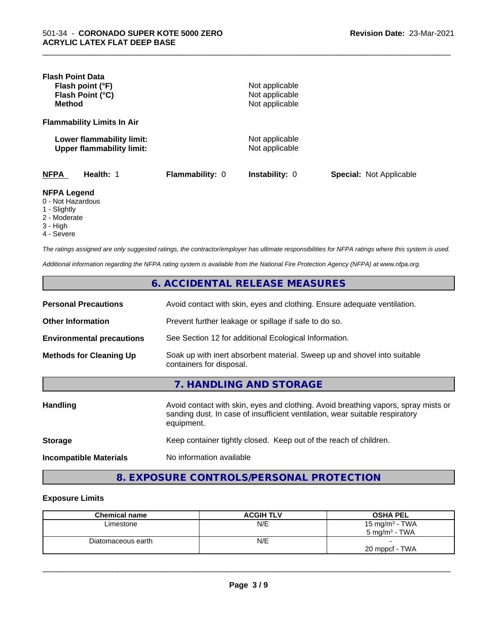| <b>Flash Point Data</b><br>Flash point (°F)<br>Flash Point (°C)<br><b>Method</b> |                 | Not applicable<br>Not applicable<br>Not applicable |                                |
|----------------------------------------------------------------------------------|-----------------|----------------------------------------------------|--------------------------------|
| <b>Flammability Limits In Air</b>                                                |                 |                                                    |                                |
| Lower flammability limit:<br><b>Upper flammability limit:</b>                    |                 | Not applicable<br>Not applicable                   |                                |
| <b>NFPA</b><br>Health: 1                                                         | Flammability: 0 | <b>Instability: 0</b>                              | <b>Special: Not Applicable</b> |
| <b>NFPA Legend</b><br>0 - Not Hazardous<br>1 - Slightly<br>2 - Moderate          |                 |                                                    |                                |

\_\_\_\_\_\_\_\_\_\_\_\_\_\_\_\_\_\_\_\_\_\_\_\_\_\_\_\_\_\_\_\_\_\_\_\_\_\_\_\_\_\_\_\_\_\_\_\_\_\_\_\_\_\_\_\_\_\_\_\_\_\_\_\_\_\_\_\_\_\_\_\_\_\_\_\_\_\_\_\_\_\_\_\_\_\_\_\_\_\_\_\_\_

- Moderate
- 3 High
- 4 Severe

*The ratings assigned are only suggested ratings, the contractor/employer has ultimate responsibilities for NFPA ratings where this system is used.*

*Additional information regarding the NFPA rating system is available from the National Fire Protection Agency (NFPA) at www.nfpa.org.*

|                                  | 6. ACCIDENTAL RELEASE MEASURES                                                                                                                                                   |
|----------------------------------|----------------------------------------------------------------------------------------------------------------------------------------------------------------------------------|
| <b>Personal Precautions</b>      | Avoid contact with skin, eyes and clothing. Ensure adequate ventilation.                                                                                                         |
| <b>Other Information</b>         | Prevent further leakage or spillage if safe to do so.                                                                                                                            |
| <b>Environmental precautions</b> | See Section 12 for additional Ecological Information.                                                                                                                            |
| <b>Methods for Cleaning Up</b>   | Soak up with inert absorbent material. Sweep up and shovel into suitable<br>containers for disposal.                                                                             |
|                                  | 7. HANDLING AND STORAGE                                                                                                                                                          |
| <b>Handling</b>                  | Avoid contact with skin, eyes and clothing. Avoid breathing vapors, spray mists or<br>sanding dust. In case of insufficient ventilation, wear suitable respiratory<br>equipment. |
| <b>Storage</b>                   | Keep container tightly closed. Keep out of the reach of children.                                                                                                                |
| <b>Incompatible Materials</b>    | No information available                                                                                                                                                         |

# **8. EXPOSURE CONTROLS/PERSONAL PROTECTION**

#### **Exposure Limits**

| <b>Chemical name</b> | <b>ACGIH TLV</b> | <b>OSHA PEL</b>          |
|----------------------|------------------|--------------------------|
| Limestone            | N/E              | 15 mg/m $3$ - TWA        |
|                      |                  | $5 \text{ mg/m}^3$ - TWA |
| Diatomaceous earth   | N/E              |                          |
|                      |                  | 20 mppcf - TWA           |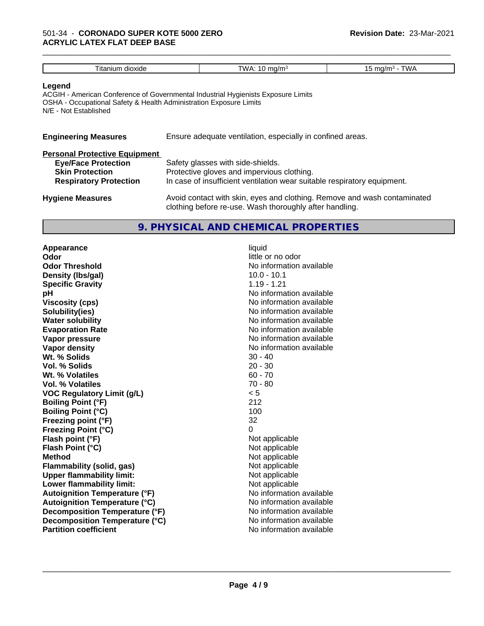| Titanium dioxide                                                                                      | TWA: 10 mg/m $3$                                                                  | 15 mg/m $3$ - TWA |
|-------------------------------------------------------------------------------------------------------|-----------------------------------------------------------------------------------|-------------------|
| Legend<br>OSHA - Occupational Safety & Health Administration Exposure Limits<br>N/E - Not Established | ACGIH - American Conference of Governmental Industrial Hygienists Exposure Limits |                   |
| <b>Engineering Measures</b>                                                                           | Ensure adequate ventilation, especially in confined areas.                        |                   |

\_\_\_\_\_\_\_\_\_\_\_\_\_\_\_\_\_\_\_\_\_\_\_\_\_\_\_\_\_\_\_\_\_\_\_\_\_\_\_\_\_\_\_\_\_\_\_\_\_\_\_\_\_\_\_\_\_\_\_\_\_\_\_\_\_\_\_\_\_\_\_\_\_\_\_\_\_\_\_\_\_\_\_\_\_\_\_\_\_\_\_\_\_

| <b>Personal Protective Equipment</b> |                                                                                                                                     |
|--------------------------------------|-------------------------------------------------------------------------------------------------------------------------------------|
| <b>Eye/Face Protection</b>           | Safety glasses with side-shields.                                                                                                   |
| <b>Skin Protection</b>               | Protective gloves and impervious clothing.                                                                                          |
| <b>Respiratory Protection</b>        | In case of insufficient ventilation wear suitable respiratory equipment.                                                            |
| <b>Hygiene Measures</b>              | Avoid contact with skin, eyes and clothing. Remove and wash contaminated<br>clothing before re-use. Wash thoroughly after handling. |

### **9. PHYSICAL AND CHEMICAL PROPERTIES**

| Appearance                           | liquid                   |
|--------------------------------------|--------------------------|
| Odor                                 | little or no odor        |
| <b>Odor Threshold</b>                | No information available |
| Density (Ibs/gal)                    | $10.0 - 10.1$            |
| <b>Specific Gravity</b>              | $1.19 - 1.21$            |
| рH                                   | No information available |
| <b>Viscosity (cps)</b>               | No information available |
| Solubility(ies)                      | No information available |
| <b>Water solubility</b>              | No information available |
| <b>Evaporation Rate</b>              | No information available |
| Vapor pressure                       | No information available |
| <b>Vapor density</b>                 | No information available |
| Wt. % Solids                         | $30 - 40$                |
| Vol. % Solids                        | $20 - 30$                |
| Wt. % Volatiles                      | $60 - 70$                |
| Vol. % Volatiles                     | $70 - 80$                |
| <b>VOC Regulatory Limit (g/L)</b>    | < 5                      |
| <b>Boiling Point (°F)</b>            | 212                      |
| <b>Boiling Point (°C)</b>            | 100                      |
| Freezing point (°F)                  | 32                       |
| <b>Freezing Point (°C)</b>           | 0                        |
| Flash point (°F)                     | Not applicable           |
| Flash Point (°C)                     | Not applicable           |
| <b>Method</b>                        | Not applicable           |
| <b>Flammability (solid, gas)</b>     | Not applicable           |
| <b>Upper flammability limit:</b>     | Not applicable           |
| Lower flammability limit:            | Not applicable           |
| <b>Autoignition Temperature (°F)</b> | No information available |
| <b>Autoignition Temperature (°C)</b> | No information available |
| Decomposition Temperature (°F)       | No information available |
| Decomposition Temperature (°C)       | No information available |
| <b>Partition coefficient</b>         | No information available |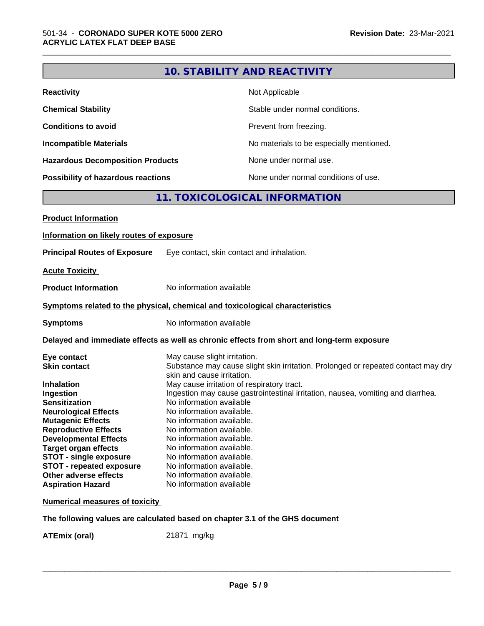|                                                                              |                              | 10. STABILITY AND REACTIVITY                                                               |
|------------------------------------------------------------------------------|------------------------------|--------------------------------------------------------------------------------------------|
| <b>Reactivity</b>                                                            |                              | Not Applicable                                                                             |
| <b>Chemical Stability</b>                                                    |                              | Stable under normal conditions.                                                            |
| <b>Conditions to avoid</b>                                                   |                              | Prevent from freezing.                                                                     |
| <b>Incompatible Materials</b>                                                |                              | No materials to be especially mentioned.                                                   |
| <b>Hazardous Decomposition Products</b>                                      |                              | None under normal use.                                                                     |
| Possibility of hazardous reactions                                           |                              | None under normal conditions of use.                                                       |
|                                                                              |                              | 11. TOXICOLOGICAL INFORMATION                                                              |
| <b>Product Information</b>                                                   |                              |                                                                                            |
| Information on likely routes of exposure                                     |                              |                                                                                            |
| <b>Principal Routes of Exposure</b>                                          |                              | Eye contact, skin contact and inhalation.                                                  |
|                                                                              |                              |                                                                                            |
| <b>Acute Toxicity</b>                                                        |                              |                                                                                            |
| <b>Product Information</b>                                                   | No information available     |                                                                                            |
| Symptoms related to the physical, chemical and toxicological characteristics |                              |                                                                                            |
| <b>Symptoms</b>                                                              | No information available     |                                                                                            |
|                                                                              |                              | Delayed and immediate effects as well as chronic effects from short and long-term exposure |
| Eye contact                                                                  | May cause slight irritation. |                                                                                            |
| <b>Skin contact</b>                                                          |                              | Substance may cause slight skin irritation. Prolonged or repeated contact may dry          |
|                                                                              | skin and cause irritation.   |                                                                                            |
| <b>Inhalation</b>                                                            |                              | May cause irritation of respiratory tract.                                                 |
| Ingestion                                                                    |                              | Ingestion may cause gastrointestinal irritation, nausea, vomiting and diarrhea.            |
| <b>Sensitization</b>                                                         | No information available     |                                                                                            |
| <b>Neurological Effects</b>                                                  | No information available.    |                                                                                            |
| <b>Mutagenic Effects</b>                                                     | No information available.    |                                                                                            |
| <b>Reproductive Effects</b>                                                  | No information available.    |                                                                                            |
| <b>Developmental Effects</b>                                                 | No information available.    |                                                                                            |
| <b>Target organ effects</b>                                                  | No information available.    |                                                                                            |
| <b>STOT - single exposure</b>                                                | No information available.    |                                                                                            |
| <b>STOT - repeated exposure</b>                                              | No information available.    |                                                                                            |
| Other adverse effects                                                        | No information available.    |                                                                                            |
| <b>Aspiration Hazard</b>                                                     | No information available     |                                                                                            |
| <b>Numerical measures of toxicity</b>                                        |                              |                                                                                            |
| The following values are calculated based on chapter 3.1 of the GHS document |                              |                                                                                            |

**ATEmix (oral)** 21871 mg/kg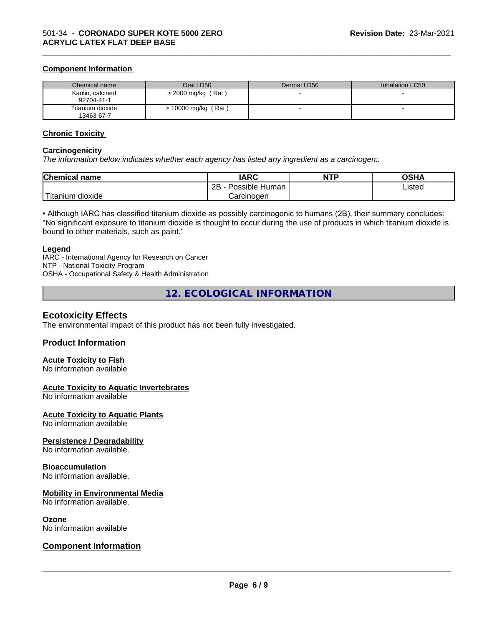#### **Component Information**

| Chemical name                  | Oral LD50            | Dermal LD50 | Inhalation LC50 |
|--------------------------------|----------------------|-------------|-----------------|
| Kaolin, calcined<br>92704-41-1 | $>$ 2000 mg/kg (Rat) |             |                 |
| Titanium dioxide<br>13463-67-7 | > 10000 mg/kg (Rat)  |             |                 |

\_\_\_\_\_\_\_\_\_\_\_\_\_\_\_\_\_\_\_\_\_\_\_\_\_\_\_\_\_\_\_\_\_\_\_\_\_\_\_\_\_\_\_\_\_\_\_\_\_\_\_\_\_\_\_\_\_\_\_\_\_\_\_\_\_\_\_\_\_\_\_\_\_\_\_\_\_\_\_\_\_\_\_\_\_\_\_\_\_\_\_\_\_

#### **Chronic Toxicity**

#### **Carcinogenicity**

*The information below indicateswhether each agency has listed any ingredient as a carcinogen:.*

| <b>Chemical name</b>          | <b>IARC</b>                      | <b>NTP</b> | <b>OSHA</b>    |
|-------------------------------|----------------------------------|------------|----------------|
|                               | . .<br>2B<br>: Human<br>Possible |            | Listed<br>____ |
| $-1$<br>. dioxide<br>⊺itanıum | Carcinogen                       |            |                |

• Although IARC has classified titanium dioxide as possibly carcinogenic to humans (2B), their summary concludes: "No significant exposure to titanium dioxide is thought to occur during the use of products in which titanium dioxide is bound to other materials, such as paint."

#### **Legend**

IARC - International Agency for Research on Cancer NTP - National Toxicity Program OSHA - Occupational Safety & Health Administration

**12. ECOLOGICAL INFORMATION**

### **Ecotoxicity Effects**

The environmental impact of this product has not been fully investigated.

### **Product Information**

#### **Acute Toxicity to Fish**

No information available

#### **Acute Toxicity to Aquatic Invertebrates**

No information available

#### **Acute Toxicity to Aquatic Plants**

No information available

#### **Persistence / Degradability**

No information available.

#### **Bioaccumulation**

No information available.

#### **Mobility in Environmental Media**

No information available.

#### **Ozone**

No information available

### **Component Information**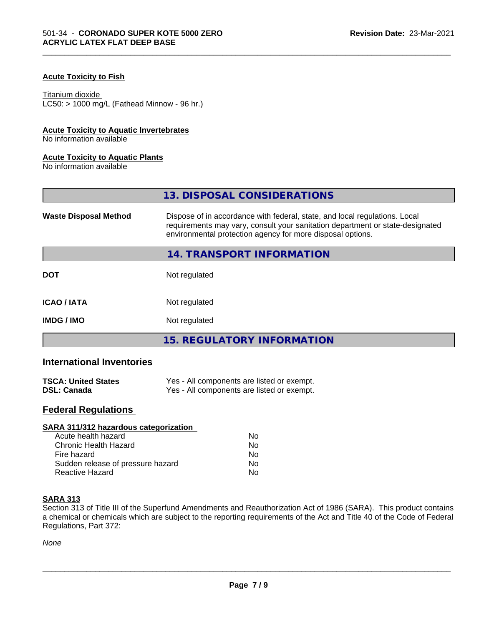### **Acute Toxicity to Fish**

#### Titanium dioxide

 $LC50:$  > 1000 mg/L (Fathead Minnow - 96 hr.)

#### **Acute Toxicity to Aquatic Invertebrates**

No information available

#### **Acute Toxicity to Aquatic Plants**

No information available

|                              | 13. DISPOSAL CONSIDERATIONS                                                                                                                                                                                               |  |
|------------------------------|---------------------------------------------------------------------------------------------------------------------------------------------------------------------------------------------------------------------------|--|
| <b>Waste Disposal Method</b> | Dispose of in accordance with federal, state, and local regulations. Local<br>requirements may vary, consult your sanitation department or state-designated<br>environmental protection agency for more disposal options. |  |
|                              | 14. TRANSPORT INFORMATION                                                                                                                                                                                                 |  |
| <b>DOT</b>                   | Not regulated                                                                                                                                                                                                             |  |
| <b>ICAO / IATA</b>           | Not regulated                                                                                                                                                                                                             |  |
| <b>IMDG/IMO</b>              | Not regulated                                                                                                                                                                                                             |  |
|                              | 15. REGULATORY INFORMATION                                                                                                                                                                                                |  |

\_\_\_\_\_\_\_\_\_\_\_\_\_\_\_\_\_\_\_\_\_\_\_\_\_\_\_\_\_\_\_\_\_\_\_\_\_\_\_\_\_\_\_\_\_\_\_\_\_\_\_\_\_\_\_\_\_\_\_\_\_\_\_\_\_\_\_\_\_\_\_\_\_\_\_\_\_\_\_\_\_\_\_\_\_\_\_\_\_\_\_\_\_

# **International Inventories**

| <b>TSCA: United States</b> | Yes - All components are listed or exempt. |
|----------------------------|--------------------------------------------|
| <b>DSL: Canada</b>         | Yes - All components are listed or exempt. |

# **Federal Regulations**

| SARA 311/312 hazardous categorization |    |  |
|---------------------------------------|----|--|
| Acute health hazard                   | Nο |  |
| Chronic Health Hazard                 | No |  |
| Fire hazard                           | Nο |  |
| Sudden release of pressure hazard     | No |  |
| Reactive Hazard                       | No |  |

#### **SARA 313**

Section 313 of Title III of the Superfund Amendments and Reauthorization Act of 1986 (SARA). This product contains a chemical or chemicals which are subject to the reporting requirements of the Act and Title 40 of the Code of Federal Regulations, Part 372:

*None*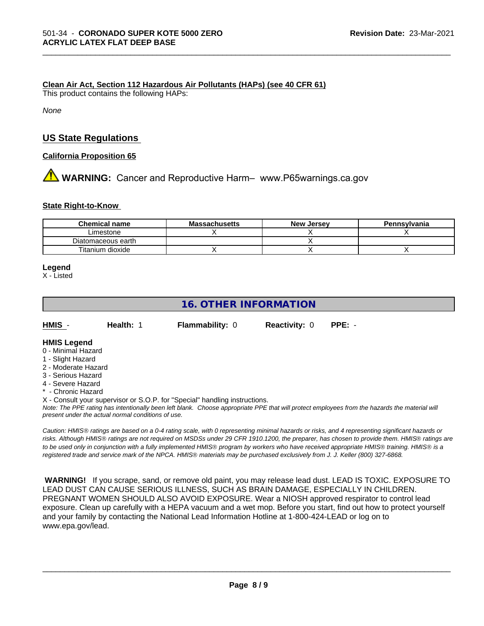#### **Clean Air Act,Section 112 Hazardous Air Pollutants (HAPs) (see 40 CFR 61)**

This product contains the following HAPs:

*None*

### **US State Regulations**

**California Proposition 65**

# **A** WARNING: Cancer and Reproductive Harm– www.P65warnings.ca.gov

#### **State Right-to-Know**

| <b>Chemical name</b> | <b>Massachusetts</b> | <b>New Jersey</b> | Pennsylvania |
|----------------------|----------------------|-------------------|--------------|
| Limestone            |                      |                   |              |
| Diatomaceous earth   |                      |                   |              |
| Titanium dioxide     |                      |                   |              |

\_\_\_\_\_\_\_\_\_\_\_\_\_\_\_\_\_\_\_\_\_\_\_\_\_\_\_\_\_\_\_\_\_\_\_\_\_\_\_\_\_\_\_\_\_\_\_\_\_\_\_\_\_\_\_\_\_\_\_\_\_\_\_\_\_\_\_\_\_\_\_\_\_\_\_\_\_\_\_\_\_\_\_\_\_\_\_\_\_\_\_\_\_

#### **Legend**

X - Listed

# **16. OTHER INFORMATION**

| HMIS | Health: 1 | <b>Flammability: 0</b> | <b>Reactivity: 0</b> | PPE: - |
|------|-----------|------------------------|----------------------|--------|
|      |           |                        |                      |        |

#### **HMIS Legend**

- 0 Minimal Hazard
- 1 Slight Hazard
- 2 Moderate Hazard
- 3 Serious Hazard
- 4 Severe Hazard
- \* Chronic Hazard

X - Consult your supervisor or S.O.P. for "Special" handling instructions.

*Note: The PPE rating has intentionally been left blank. Choose appropriate PPE that will protect employees from the hazards the material will present under the actual normal conditions of use.*

*Caution: HMISÒ ratings are based on a 0-4 rating scale, with 0 representing minimal hazards or risks, and 4 representing significant hazards or risks. Although HMISÒ ratings are not required on MSDSs under 29 CFR 1910.1200, the preparer, has chosen to provide them. HMISÒ ratings are to be used only in conjunction with a fully implemented HMISÒ program by workers who have received appropriate HMISÒ training. HMISÒ is a registered trade and service mark of the NPCA. HMISÒ materials may be purchased exclusively from J. J. Keller (800) 327-6868.*

 **WARNING!** If you scrape, sand, or remove old paint, you may release lead dust. LEAD IS TOXIC. EXPOSURE TO LEAD DUST CAN CAUSE SERIOUS ILLNESS, SUCH AS BRAIN DAMAGE, ESPECIALLY IN CHILDREN. PREGNANT WOMEN SHOULD ALSO AVOID EXPOSURE.Wear a NIOSH approved respirator to control lead exposure. Clean up carefully with a HEPA vacuum and a wet mop. Before you start, find out how to protect yourself and your family by contacting the National Lead Information Hotline at 1-800-424-LEAD or log on to www.epa.gov/lead.